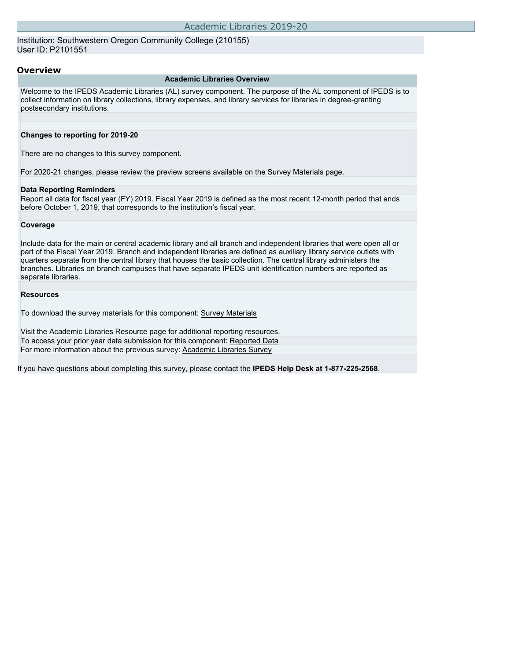Institution: Southwestern Oregon Community College (210155) User ID: P2101551

### **Overview**

#### **Academic Libraries Overview**

Welcome to the IPEDS Academic Libraries (AL) survey component. The purpose of the AL component of IPEDS is to collect information on library collections, library expenses, and library services for libraries in degree-granting postsecondary institutions.

### **Changes to reporting for 2019-20**

There are no changes to this survey component.

For 2020-21 changes, please review the preview screens available on the [Survey Materials](https://surveys.nces.ed.gov/ipeds/VisIndex.aspx) page.

## **Data Reporting Reminders**

Report all data for fiscal year (FY) 2019. Fiscal Year 2019 is defined as the most recent 12-month period that ends before October 1, 2019, that corresponds to the institution's fiscal year.

### **Coverage**

Include data for the main or central academic library and all branch and independent libraries that were open all or part of the Fiscal Year 2019. Branch and independent libraries are defined as auxiliary library service outlets with quarters separate from the central library that houses the basic collection. The central library administers the branches. Libraries on branch campuses that have separate IPEDS unit identification numbers are reported as separate libraries.

### **Resources**

To download the survey materials for this component: [Survey Materials](https://surveys.nces.ed.gov/ipeds/VisIndex.aspx)

Visit the [Academic Libraries Resource](https://nces.ed.gov/ipeds/report-your-data/resource-center-academic-libraries) page for additional reporting resources. To access your prior year data submission for this component: [Reported Data](http://192.168.102.89/ipeds/PriorYearDataRedirect.aspx?survey_id=15) For more information about the previous survey: [Academic Libraries Survey](https://nces.ed.gov/surveys/libraries/academic.asp)

If you have questions about completing this survey, please contact the **IPEDS Help Desk at 1-877-225-2568**.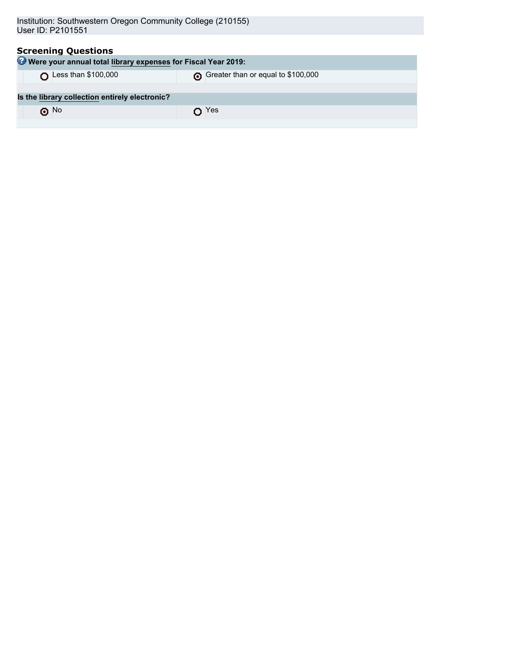| <b>Screening Questions</b><br><b>O</b> Were your annual total library expenses for Fiscal Year 2019: |                                    |  |  |  |
|------------------------------------------------------------------------------------------------------|------------------------------------|--|--|--|
| Less than \$100,000                                                                                  | Greater than or equal to \$100,000 |  |  |  |
| Is the library collection entirely electronic?                                                       |                                    |  |  |  |
| $\odot$ No                                                                                           | Yes                                |  |  |  |
|                                                                                                      |                                    |  |  |  |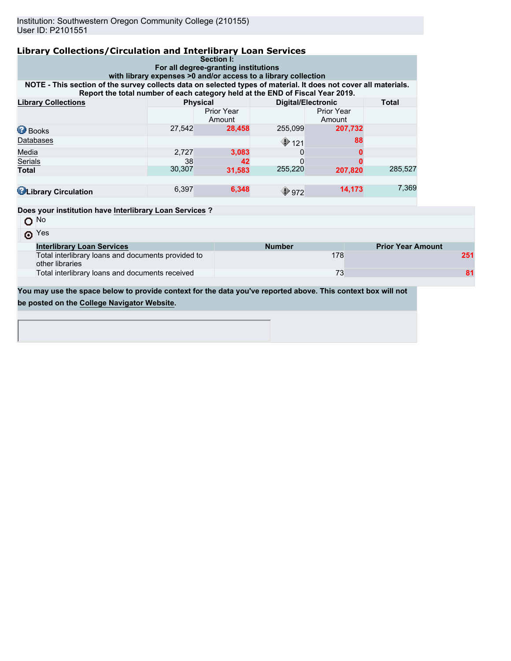| Library Collections/Circulation and Interlibrary Loan Services                                                                                                                                                                                                     |        |                      |                           |                             |                          |  |
|--------------------------------------------------------------------------------------------------------------------------------------------------------------------------------------------------------------------------------------------------------------------|--------|----------------------|---------------------------|-----------------------------|--------------------------|--|
| Section I:<br>For all degree-granting institutions                                                                                                                                                                                                                 |        |                      |                           |                             |                          |  |
| with library expenses >0 and/or access to a library collection<br>NOTE - This section of the survey collects data on selected types of material. It does not cover all materials.<br>Report the total number of each category held at the END of Fiscal Year 2019. |        |                      |                           |                             |                          |  |
| <b>Library Collections</b><br><b>Physical</b>                                                                                                                                                                                                                      |        |                      | <b>Digital/Electronic</b> |                             | <b>Total</b>             |  |
|                                                                                                                                                                                                                                                                    |        | Prior Year<br>Amount |                           | <b>Prior Year</b><br>Amount |                          |  |
| <b>Books</b>                                                                                                                                                                                                                                                       | 27,542 | 28,458               | 255,099                   | 207,732                     |                          |  |
| Databases                                                                                                                                                                                                                                                          |        |                      | $\bigcirc$ 121            | 88                          |                          |  |
| Media                                                                                                                                                                                                                                                              | 2,727  | 3,083                | 0                         |                             |                          |  |
| Serials                                                                                                                                                                                                                                                            | 38     | 42                   | $\Omega$                  |                             |                          |  |
| <b>Total</b>                                                                                                                                                                                                                                                       | 30,307 | 31,583               | 255,220                   | 207,820                     | 285,527                  |  |
| <b>ULibrary Circulation</b>                                                                                                                                                                                                                                        | 6,397  | 6,348                | $\bigcirc$ 972            | 14,173                      | 7,369                    |  |
| Does your institution have Interlibrary Loan Services?                                                                                                                                                                                                             |        |                      |                           |                             |                          |  |
| N <sub>o</sub><br>$\circ$                                                                                                                                                                                                                                          |        |                      |                           |                             |                          |  |
| $\odot$ Yes                                                                                                                                                                                                                                                        |        |                      |                           |                             |                          |  |
| <b>Interlibrary Loan Services</b>                                                                                                                                                                                                                                  |        |                      | <b>Number</b>             |                             | <b>Prior Year Amount</b> |  |
| Total interlibrary loans and documents provided to<br>other libraries                                                                                                                                                                                              |        |                      |                           | 178                         |                          |  |

Total interlibrary loans and documents received 73 **81**

**You may use the space below to provide context for the data you've reported above. This context box will not be posted on the [College Navigator Website.](http://nces.ed.gov/collegenavigator/)**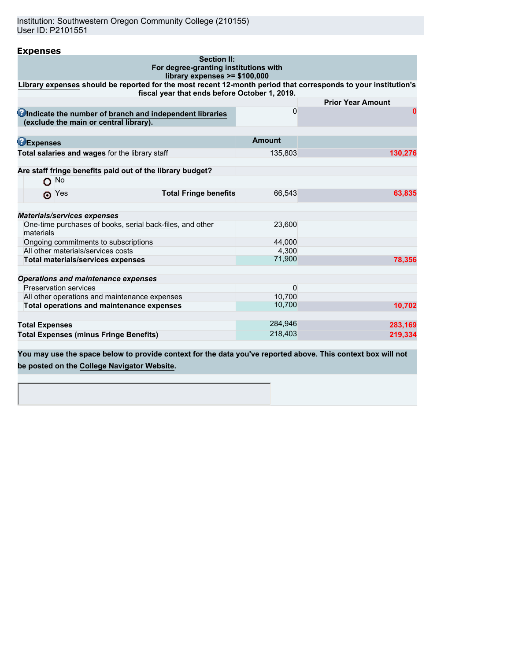Institution: Southwestern Oregon Community College (210155) User ID: P2101551

| <b>Expenses</b>                                                                                                                                                 |               |                          |  |  |  |
|-----------------------------------------------------------------------------------------------------------------------------------------------------------------|---------------|--------------------------|--|--|--|
| <b>Section II:</b><br>For degree-granting institutions with<br>library expenses >= \$100,000                                                                    |               |                          |  |  |  |
| Library expenses should be reported for the most recent 12-month period that corresponds to your institution's<br>fiscal year that ends before October 1, 2019. |               |                          |  |  |  |
|                                                                                                                                                                 |               | <b>Prior Year Amount</b> |  |  |  |
| Cindicate the number of branch and independent libraries<br>(exclude the main or central library).                                                              | 0             | Ω                        |  |  |  |
| <b>BExpenses</b>                                                                                                                                                | <b>Amount</b> |                          |  |  |  |
| Total salaries and wages for the library staff                                                                                                                  | 135,803       | 130,276                  |  |  |  |
| Are staff fringe benefits paid out of the library budget?                                                                                                       |               |                          |  |  |  |
| No.<br>o                                                                                                                                                        |               |                          |  |  |  |
| <b>Total Fringe benefits</b><br>$\odot$ Yes                                                                                                                     | 66,543        | 63,835                   |  |  |  |
| <b>Materials/services expenses</b>                                                                                                                              |               |                          |  |  |  |
| One-time purchases of books, serial back-files, and other<br>materials                                                                                          | 23,600        |                          |  |  |  |
| Ongoing commitments to subscriptions                                                                                                                            | 44.000        |                          |  |  |  |
| All other materials/services costs                                                                                                                              | 4,300         |                          |  |  |  |
| <b>Total materials/services expenses</b>                                                                                                                        | 71,900        | 78,356                   |  |  |  |
| <b>Operations and maintenance expenses</b>                                                                                                                      |               |                          |  |  |  |
| <b>Preservation services</b>                                                                                                                                    | $\Omega$      |                          |  |  |  |
| All other operations and maintenance expenses                                                                                                                   | 10,700        |                          |  |  |  |
| Total operations and maintenance expenses                                                                                                                       | 10,700        | 10,702                   |  |  |  |
| <b>Total Expenses</b>                                                                                                                                           | 284,946       | 283,169                  |  |  |  |
| <b>Total Expenses (minus Fringe Benefits)</b>                                                                                                                   | 218,403       | 219,334                  |  |  |  |

**You may use the space below to provide context for the data you've reported above. This context box will not be posted on the [College Navigator Website.](http://nces.ed.gov/collegenavigator/)**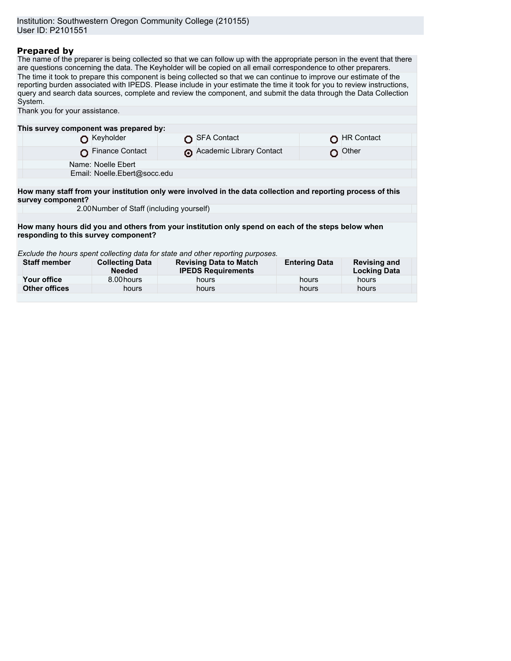# **Prepared by**

The name of the preparer is being collected so that we can follow up with the appropriate person in the event that there are questions concerning the data. The Keyholder will be copied on all email correspondence to other preparers. The time it took to prepare this component is being collected so that we can continue to improve our estimate of the reporting burden associated with IPEDS. Please include in your estimate the time it took for you to review instructions, query and search data sources, complete and review the component, and submit the data through the Data Collection System.

| Thank you for your assistance.                                                                                                    |                                         |  |                                                            |                      |                                            |  |
|-----------------------------------------------------------------------------------------------------------------------------------|-----------------------------------------|--|------------------------------------------------------------|----------------------|--------------------------------------------|--|
|                                                                                                                                   |                                         |  |                                                            |                      |                                            |  |
| This survey component was prepared by:                                                                                            |                                         |  |                                                            |                      |                                            |  |
|                                                                                                                                   | Keyholder                               |  | <b>SFA Contact</b>                                         |                      | <b>HR Contact</b>                          |  |
|                                                                                                                                   | <b>Finance Contact</b>                  |  | Academic Library Contact                                   |                      | Other                                      |  |
|                                                                                                                                   | Name: Noelle Ebert                      |  |                                                            |                      |                                            |  |
|                                                                                                                                   | Email: Noelle.Ebert@socc.edu            |  |                                                            |                      |                                            |  |
|                                                                                                                                   |                                         |  |                                                            |                      |                                            |  |
| How many staff from your institution only were involved in the data collection and reporting process of this<br>survey component? |                                         |  |                                                            |                      |                                            |  |
| 2.00 Number of Staff (including yourself)                                                                                         |                                         |  |                                                            |                      |                                            |  |
|                                                                                                                                   |                                         |  |                                                            |                      |                                            |  |
| How many hours did you and others from your institution only spend on each of the steps below when                                |                                         |  |                                                            |                      |                                            |  |
| responding to this survey component?                                                                                              |                                         |  |                                                            |                      |                                            |  |
|                                                                                                                                   |                                         |  |                                                            |                      |                                            |  |
| Exclude the hours spent collecting data for state and other reporting purposes.                                                   |                                         |  |                                                            |                      |                                            |  |
| <b>Staff member</b>                                                                                                               | <b>Collecting Data</b><br><b>Needed</b> |  | <b>Revising Data to Match</b><br><b>IPEDS Requirements</b> | <b>Entering Data</b> | <b>Revising and</b><br><b>Locking Data</b> |  |
| Your office                                                                                                                       | 8.00 hours                              |  | hours                                                      | hours                | hours                                      |  |
| <b>Other offices</b>                                                                                                              | hours                                   |  | hours                                                      | hours                | hours                                      |  |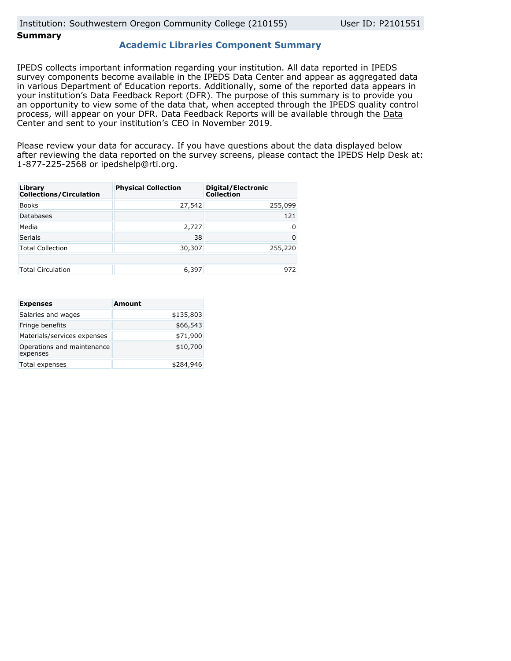# **Summary**

## **Academic Libraries Component Summary**

IPEDS collects important information regarding your institution. All data reported in IPEDS survey components become available in the IPEDS Data Center and appear as aggregated data in various Department of Education reports. Additionally, some of the reported data appears in your institution's Data Feedback Report (DFR). The purpose of this summary is to provide you an opportunity to view some of the data that, when accepted through the IPEDS quality control process, will appear on your DFR. Data Feedback Reports will be available through the [Data](https://nces.ed.gov/ipeds/use-the-data) [Center](https://nces.ed.gov/ipeds/use-the-data) and sent to your institution's CEO in November 2019.

Please review your data for accuracy. If you have questions about the data displayed below after reviewing the data reported on the survey screens, please contact the IPEDS Help Desk at: 1-877-225-2568 or ipedshelp@rti.org.

| Library<br><b>Collections/Circulation</b> | <b>Physical Collection</b> | Digital/Electronic<br><b>Collection</b> |
|-------------------------------------------|----------------------------|-----------------------------------------|
| <b>Books</b>                              | 27,542                     | 255,099                                 |
| <b>Databases</b>                          |                            | 121                                     |
| Media                                     | 2,727                      | 0                                       |
| <b>Serials</b>                            | 38                         | 0                                       |
| <b>Total Collection</b>                   | 30,307                     | 255,220                                 |
|                                           |                            |                                         |
| <b>Total Circulation</b>                  | 6,397                      | 972                                     |

| <b>Expenses</b>                        | <b>Amount</b> |
|----------------------------------------|---------------|
| Salaries and wages                     | \$135,803     |
| Fringe benefits                        | \$66,543      |
| Materials/services expenses            | \$71,900      |
| Operations and maintenance<br>expenses | \$10,700      |
| Total expenses                         | \$284,946     |